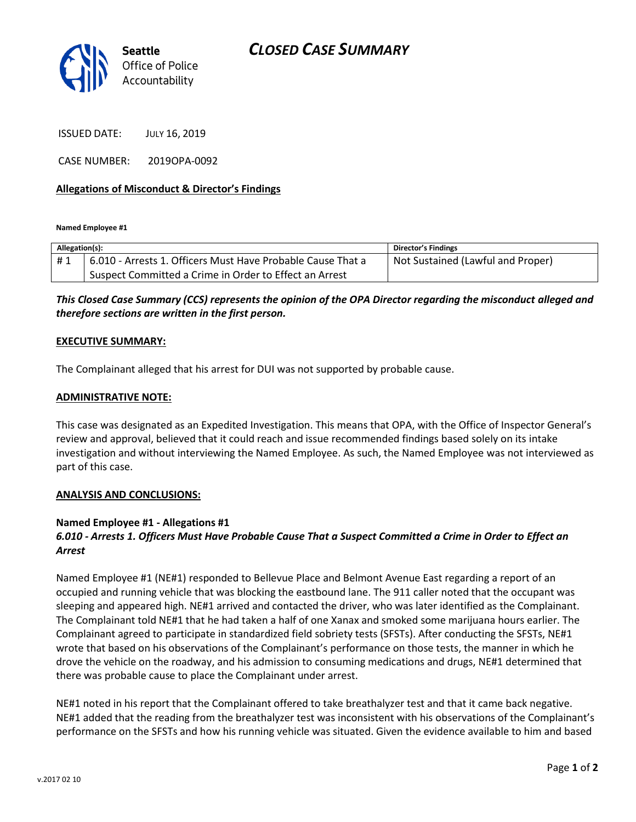

ISSUED DATE: JULY 16, 2019

CASE NUMBER: 2019OPA-0092

### **Allegations of Misconduct & Director's Findings**

**Named Employee #1**

| Allegation(s): |                                                             | Director's Findings               |
|----------------|-------------------------------------------------------------|-----------------------------------|
| #1             | 6.010 - Arrests 1. Officers Must Have Probable Cause That a | Not Sustained (Lawful and Proper) |
|                | Suspect Committed a Crime in Order to Effect an Arrest      |                                   |

*This Closed Case Summary (CCS) represents the opinion of the OPA Director regarding the misconduct alleged and therefore sections are written in the first person.* 

#### **EXECUTIVE SUMMARY:**

The Complainant alleged that his arrest for DUI was not supported by probable cause.

#### **ADMINISTRATIVE NOTE:**

This case was designated as an Expedited Investigation. This means that OPA, with the Office of Inspector General's review and approval, believed that it could reach and issue recommended findings based solely on its intake investigation and without interviewing the Named Employee. As such, the Named Employee was not interviewed as part of this case.

#### **ANALYSIS AND CONCLUSIONS:**

#### **Named Employee #1 - Allegations #1**

## *6.010 - Arrests 1. Officers Must Have Probable Cause That a Suspect Committed a Crime in Order to Effect an Arrest*

Named Employee #1 (NE#1) responded to Bellevue Place and Belmont Avenue East regarding a report of an occupied and running vehicle that was blocking the eastbound lane. The 911 caller noted that the occupant was sleeping and appeared high. NE#1 arrived and contacted the driver, who was later identified as the Complainant. The Complainant told NE#1 that he had taken a half of one Xanax and smoked some marijuana hours earlier. The Complainant agreed to participate in standardized field sobriety tests (SFSTs). After conducting the SFSTs, NE#1 wrote that based on his observations of the Complainant's performance on those tests, the manner in which he drove the vehicle on the roadway, and his admission to consuming medications and drugs, NE#1 determined that there was probable cause to place the Complainant under arrest.

NE#1 noted in his report that the Complainant offered to take breathalyzer test and that it came back negative. NE#1 added that the reading from the breathalyzer test was inconsistent with his observations of the Complainant's performance on the SFSTs and how his running vehicle was situated. Given the evidence available to him and based